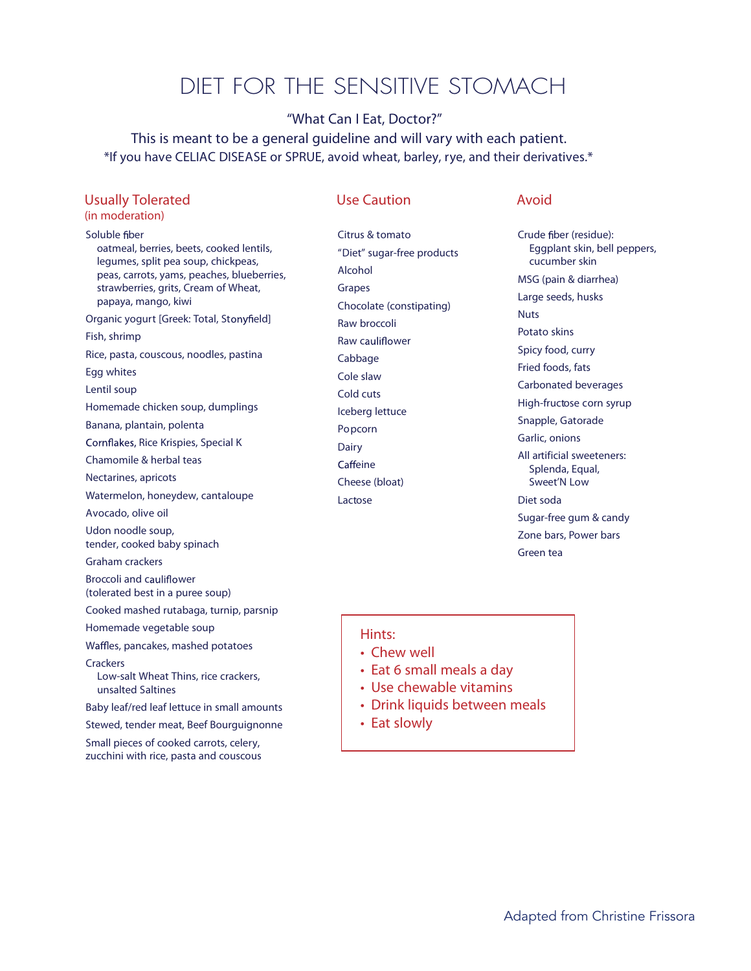# DIET FOR THE SENSITIVE STOMACH

# "What Can I Eat, Doctor?"

This is meant to be a general guideline and will vary with each patient. \*If you have CELIAC DISEASE or SPRUE, avoid wheat, barley, rye, and their derivatives.\*

# **Usually Tolerated**

# *(in moderation)*

**Soluble fiber** 

oatmeal, berries, beets, cooked lentils, legumes, split pea soup, chickpeas, peas, carrots, yams, peaches, blueberries, strawberries, grits, Cream of Wheat, papaya, mango, kiwi Organic yogurt [Greek: Total, Stonyfield] Fish, shrimp Rice, pasta, couscous, noodles, pastina Egg whites Lentil soup Homemade chicken soup, dumplings Banana, plantain, polenta Cornflakes, Rice Krispies, Special K Chamomile & herbal teas Nectarines, apricots Watermelon, honeydew, cantaloupe Avocado, olive oil Udon noodle soup, tender, cooked baby spinach Graham crackers Broccoli and cauliflower (tolerated best in a puree soup) Cooked mashed rutabaga, turnip, parsnip Homemade vegetable soup Waffles, pancakes, mashed potatoes **Crackers** Low-salt Wheat Thins, rice crackers, unsalted Saltines Baby leaf/red leaf lettuce in small amounts Stewed, tender meat, Beef Bourguignonne Small pieces of cooked carrots, celery,

zucchini with rice, pasta and couscous

# **Use Caution Avoid**

Citrus & tomato "Diet" sugar-free products Alcohol Grapes Chocolate (constipating) Raw broccoli Raw cauliflower Cabbage Cole slaw Cold cuts Iceberg lettuce Popcorn Dairy Caffeine Cheese (bloat) Lactose

Crude fiber (residue): Eggplant skin, bell peppers, cucumber skin MSG (pain & diarrhea) Large seeds, husks **Nuts** Potato skins Spicy food, curry Fried foods, fats Carbonated beverages High-fructose corn syrup Snapple, Gatorade Garlic, onions All artificial sweeteners: Splenda, Equal, Sweet'N Low Diet soda Sugar-free gum & candy Zone bars, Power bars Green tea

# **Hints:**

- **• Chew well**
- **• Eat 6 small meals a day**
- **• Use chewable vitamins**
- **• Drink liquids between meals**
- **• Eat slowly**